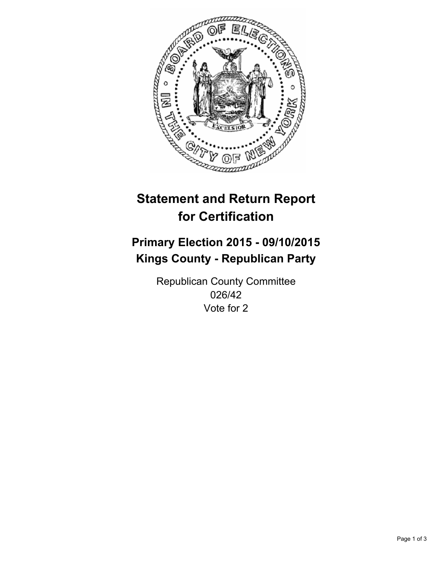

# **Statement and Return Report for Certification**

## **Primary Election 2015 - 09/10/2015 Kings County - Republican Party**

Republican County Committee 026/42 Vote for 2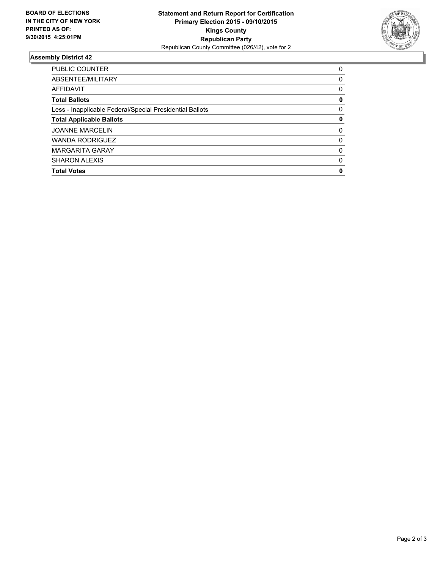

### **Assembly District 42**

| <b>PUBLIC COUNTER</b>                                    | 0        |
|----------------------------------------------------------|----------|
| ABSENTEE/MILITARY                                        | 0        |
| AFFIDAVIT                                                | 0        |
| <b>Total Ballots</b>                                     | 0        |
| Less - Inapplicable Federal/Special Presidential Ballots | 0        |
| <b>Total Applicable Ballots</b>                          | 0        |
| <b>JOANNE MARCELIN</b>                                   | $\Omega$ |
| <b>WANDA RODRIGUEZ</b>                                   | $\Omega$ |
| <b>MARGARITA GARAY</b>                                   | 0        |
| <b>SHARON ALEXIS</b>                                     | 0        |
| <b>Total Votes</b>                                       | 0        |